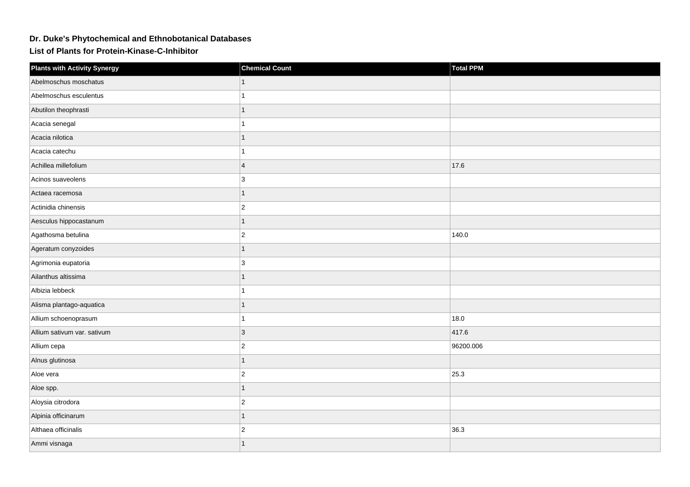## **Dr. Duke's Phytochemical and Ethnobotanical Databases**

**List of Plants for Protein-Kinase-C-Inhibitor**

| <b>Plants with Activity Synergy</b> | <b>Chemical Count</b>   | <b>Total PPM</b> |
|-------------------------------------|-------------------------|------------------|
| Abelmoschus moschatus               |                         |                  |
| Abelmoschus esculentus              |                         |                  |
| Abutilon theophrasti                | 1                       |                  |
| Acacia senegal                      |                         |                  |
| Acacia nilotica                     |                         |                  |
| Acacia catechu                      |                         |                  |
| Achillea millefolium                | $\overline{\mathbf{4}}$ | 17.6             |
| Acinos suaveolens                   | 3                       |                  |
| Actaea racemosa                     | 1                       |                  |
| Actinidia chinensis                 | $\overline{c}$          |                  |
| Aesculus hippocastanum              | $\overline{1}$          |                  |
| Agathosma betulina                  | $\overline{2}$          | 140.0            |
| Ageratum conyzoides                 |                         |                  |
| Agrimonia eupatoria                 | 3                       |                  |
| Ailanthus altissima                 |                         |                  |
| Albizia lebbeck                     |                         |                  |
| Alisma plantago-aquatica            | 1                       |                  |
| Allium schoenoprasum                |                         | 18.0             |
| Allium sativum var. sativum         | 3                       | 417.6            |
| Allium cepa                         | $\overline{2}$          | 96200.006        |
| Alnus glutinosa                     | 1                       |                  |
| Aloe vera                           | $\overline{c}$          | 25.3             |
| Aloe spp.                           | $\overline{1}$          |                  |
| Aloysia citrodora                   | $\overline{2}$          |                  |
| Alpinia officinarum                 |                         |                  |
| Althaea officinalis                 | $\overline{2}$          | 36.3             |
| Ammi visnaga                        |                         |                  |
|                                     |                         |                  |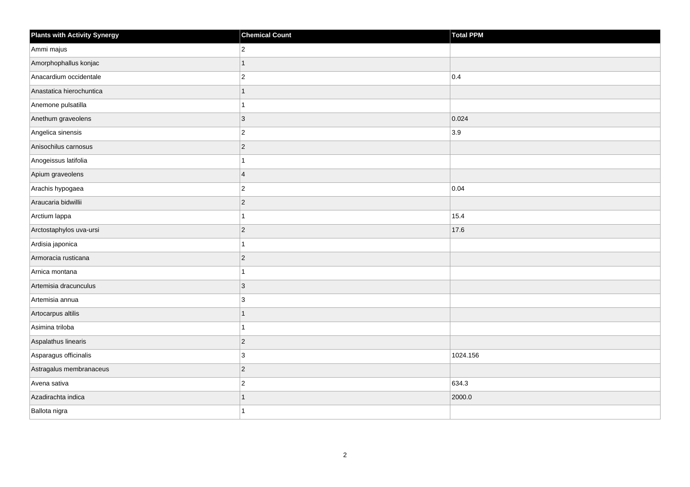| <b>Plants with Activity Synergy</b> | <b>Chemical Count</b> | <b>Total PPM</b> |
|-------------------------------------|-----------------------|------------------|
| Ammi majus                          | $ 2\rangle$           |                  |
| Amorphophallus konjac               | 1                     |                  |
| Anacardium occidentale              | $\overline{2}$        | $ 0.4\rangle$    |
| Anastatica hierochuntica            | 1                     |                  |
| Anemone pulsatilla                  | 1                     |                  |
| Anethum graveolens                  | $ 3\rangle$           | 0.024            |
| Angelica sinensis                   | $ 2\rangle$           | 3.9              |
| Anisochilus carnosus                | $ 2\rangle$           |                  |
| Anogeissus latifolia                | $\mathbf{1}$          |                  |
| Apium graveolens                    | $\overline{4}$        |                  |
| Arachis hypogaea                    | $ 2\rangle$           | 0.04             |
| Araucaria bidwillii                 | $ 2\rangle$           |                  |
| Arctium lappa                       | $\overline{1}$        | 15.4             |
| Arctostaphylos uva-ursi             | $ 2\rangle$           | 17.6             |
| Ardisia japonica                    | 1                     |                  |
| Armoracia rusticana                 | $ 2\rangle$           |                  |
| Arnica montana                      | 1                     |                  |
| Artemisia dracunculus               | $ 3\rangle$           |                  |
| Artemisia annua                     | $ 3\rangle$           |                  |
| Artocarpus altilis                  | $\mathbf{1}$          |                  |
| Asimina triloba                     | 1                     |                  |
| Aspalathus linearis                 | $ 2\rangle$           |                  |
| Asparagus officinalis               | 3                     | 1024.156         |
| Astragalus membranaceus             | $ 2\rangle$           |                  |
| Avena sativa                        | $ 2\rangle$           | 634.3            |
| Azadirachta indica                  |                       | 2000.0           |
| Ballota nigra                       | 1                     |                  |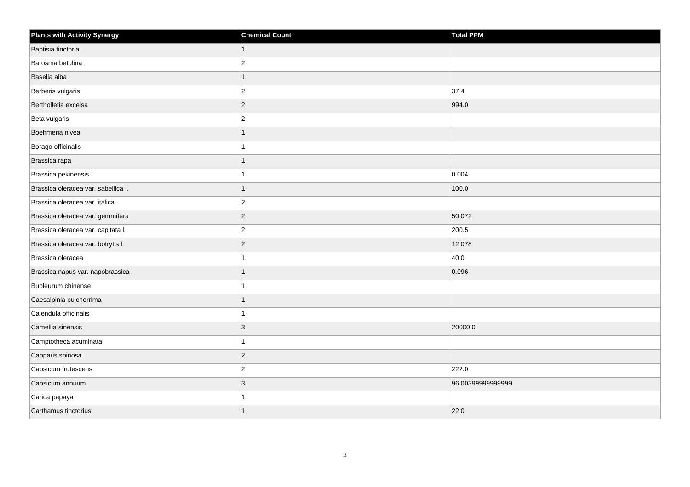| <b>Plants with Activity Synergy</b> | <b>Chemical Count</b> | <b>Total PPM</b>  |
|-------------------------------------|-----------------------|-------------------|
| Baptisia tinctoria                  | 1                     |                   |
| Barosma betulina                    | $\overline{2}$        |                   |
| Basella alba                        | 1                     |                   |
| Berberis vulgaris                   | $\overline{2}$        | 37.4              |
| Bertholletia excelsa                | $\overline{2}$        | 994.0             |
| Beta vulgaris                       | $\overline{c}$        |                   |
| Boehmeria nivea                     | 1                     |                   |
| Borago officinalis                  |                       |                   |
| Brassica rapa                       |                       |                   |
| Brassica pekinensis                 |                       | 0.004             |
| Brassica oleracea var. sabellica I. |                       | 100.0             |
| Brassica oleracea var. italica      | $\overline{2}$        |                   |
| Brassica oleracea var. gemmifera    | $\overline{2}$        | 50.072            |
| Brassica oleracea var. capitata I.  | $\overline{2}$        | 200.5             |
| Brassica oleracea var. botrytis I.  | $\overline{c}$        | 12.078            |
| Brassica oleracea                   |                       | 40.0              |
| Brassica napus var. napobrassica    |                       | 0.096             |
| Bupleurum chinense                  |                       |                   |
| Caesalpinia pulcherrima             | 1                     |                   |
| Calendula officinalis               |                       |                   |
| Camellia sinensis                   | 3                     | 20000.0           |
| Camptotheca acuminata               |                       |                   |
| Capparis spinosa                    | $\overline{2}$        |                   |
| Capsicum frutescens                 | $\overline{2}$        | 222.0             |
| Capsicum annuum                     | $\overline{3}$        | 96.00399999999999 |
| Carica papaya                       |                       |                   |
| Carthamus tinctorius                |                       | 22.0              |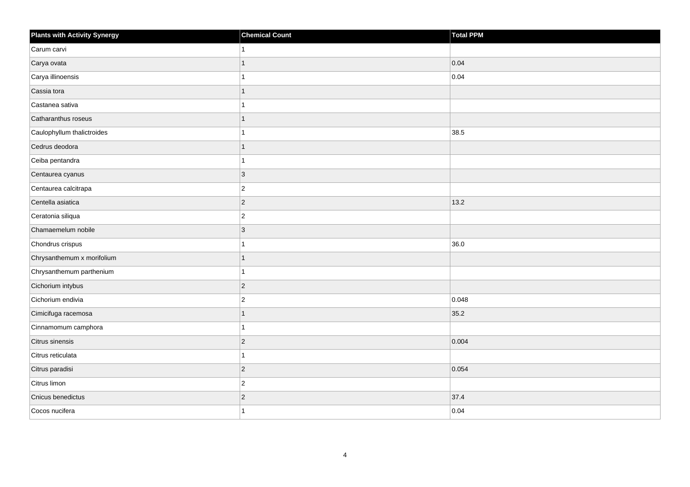| <b>Plants with Activity Synergy</b> | <b>Chemical Count</b> | <b>Total PPM</b> |
|-------------------------------------|-----------------------|------------------|
| Carum carvi                         |                       |                  |
| Carya ovata                         |                       | 0.04             |
| Carya illinoensis                   |                       | 0.04             |
| Cassia tora                         | 1                     |                  |
| Castanea sativa                     |                       |                  |
| Catharanthus roseus                 |                       |                  |
| Caulophyllum thalictroides          |                       | 38.5             |
| Cedrus deodora                      |                       |                  |
| Ceiba pentandra                     | 1                     |                  |
| Centaurea cyanus                    | 3                     |                  |
| Centaurea calcitrapa                | $ 2\rangle$           |                  |
| Centella asiatica                   | $\vert$ 2             | 13.2             |
| Ceratonia siliqua                   | $\vert$ 2             |                  |
| Chamaemelum nobile                  | 3                     |                  |
| Chondrus crispus                    | 1                     | 36.0             |
| Chrysanthemum x morifolium          | 1                     |                  |
| Chrysanthemum parthenium            |                       |                  |
| Cichorium intybus                   | $ 2\rangle$           |                  |
| Cichorium endivia                   | $\vert$ 2             | 0.048            |
| Cimicifuga racemosa                 |                       | 35.2             |
| Cinnamomum camphora                 |                       |                  |
| Citrus sinensis                     | $\vert$ 2             | 0.004            |
| Citrus reticulata                   |                       |                  |
| Citrus paradisi                     | $ 2\rangle$           | 0.054            |
| Citrus limon                        | $ 2\rangle$           |                  |
| Cnicus benedictus                   | $ 2\rangle$           | 37.4             |
| Cocos nucifera                      |                       | 0.04             |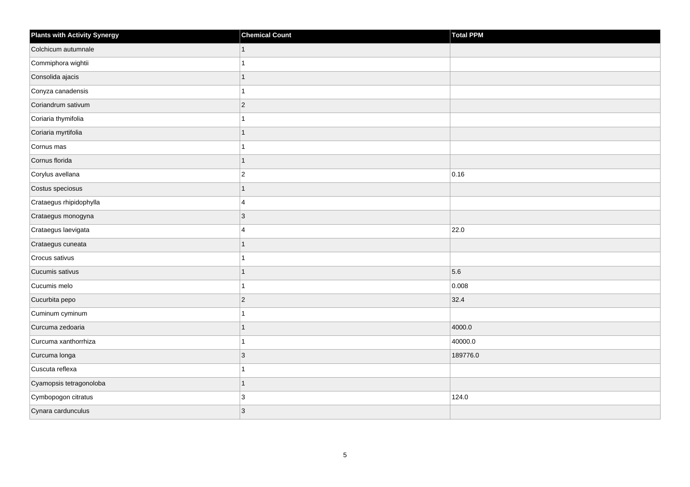| <b>Plants with Activity Synergy</b> | <b>Chemical Count</b>   | Total PPM |
|-------------------------------------|-------------------------|-----------|
| Colchicum autumnale                 | $\mathbf{1}$            |           |
| Commiphora wightii                  | 1                       |           |
| Consolida ajacis                    | $\overline{1}$          |           |
| Conyza canadensis                   | 1                       |           |
| Coriandrum sativum                  | $ 2\rangle$             |           |
| Coriaria thymifolia                 | 1                       |           |
| Coriaria myrtifolia                 | 1                       |           |
| Cornus mas                          | 1                       |           |
| Cornus florida                      | $\mathbf{1}$            |           |
| Corylus avellana                    | $\vert$ 2               | 0.16      |
| Costus speciosus                    | 1                       |           |
| Crataegus rhipidophylla             | $\overline{4}$          |           |
| Crataegus monogyna                  | $ 3\rangle$             |           |
| Crataegus laevigata                 | $\overline{\mathbf{4}}$ | 22.0      |
| Crataegus cuneata                   | $\mathbf{1}$            |           |
| Crocus sativus                      | 1                       |           |
| Cucumis sativus                     | 1                       | 5.6       |
| Cucumis melo                        | $\mathbf{1}$            | 0.008     |
| Cucurbita pepo                      | $ 2\rangle$             | $32.4$    |
| Cuminum cyminum                     | 1                       |           |
| Curcuma zedoaria                    | $\mathbf{1}$            | 4000.0    |
| Curcuma xanthorrhiza                | $\mathbf{1}$            | 40000.0   |
| Curcuma longa                       | $ 3\rangle$             | 189776.0  |
| Cuscuta reflexa                     | 1                       |           |
| Cyamopsis tetragonoloba             | $\mathbf{1}$            |           |
| Cymbopogon citratus                 | 3                       | 124.0     |
| Cynara cardunculus                  | 3                       |           |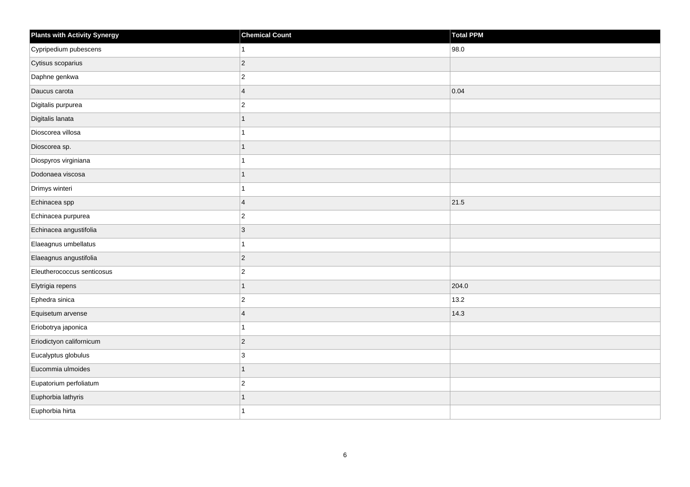| Plants with Activity Synergy | <b>Chemical Count</b> | Total PPM |
|------------------------------|-----------------------|-----------|
| Cypripedium pubescens        |                       | 98.0      |
| Cytisus scoparius            | $\overline{2}$        |           |
| Daphne genkwa                | $\overline{c}$        |           |
| Daucus carota                | $\overline{4}$        | 0.04      |
| Digitalis purpurea           | $\overline{2}$        |           |
| Digitalis lanata             | 1                     |           |
| Dioscorea villosa            |                       |           |
| Dioscorea sp.                | 1                     |           |
| Diospyros virginiana         |                       |           |
| Dodonaea viscosa             | 1                     |           |
| Drimys winteri               |                       |           |
| Echinacea spp                | $\overline{4}$        | 21.5      |
| Echinacea purpurea           | $\overline{c}$        |           |
| Echinacea angustifolia       | 3                     |           |
| Elaeagnus umbellatus         |                       |           |
| Elaeagnus angustifolia       | $\vert$ 2             |           |
| Eleutherococcus senticosus   | $\overline{c}$        |           |
| Elytrigia repens             | 1                     | 204.0     |
| Ephedra sinica               | $\overline{c}$        | 13.2      |
| Equisetum arvense            | $\overline{4}$        | 14.3      |
| Eriobotrya japonica          |                       |           |
| Eriodictyon californicum     | $\overline{c}$        |           |
| Eucalyptus globulus          | 3                     |           |
| Eucommia ulmoides            | 1                     |           |
| Eupatorium perfoliatum       | $\overline{c}$        |           |
| Euphorbia lathyris           | 1                     |           |
| Euphorbia hirta              |                       |           |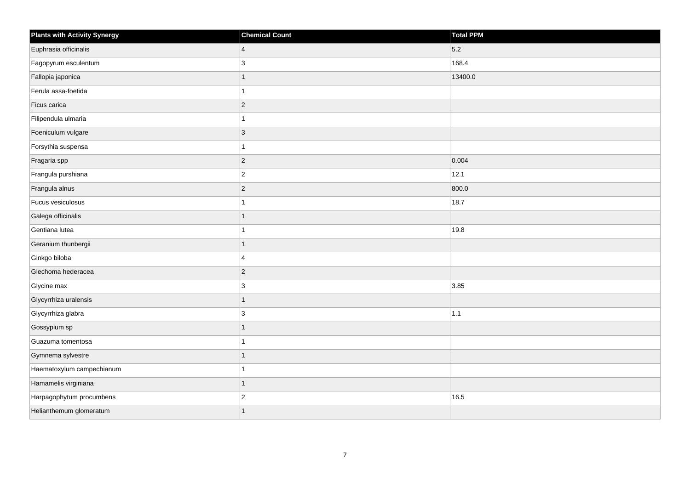| <b>Plants with Activity Synergy</b> | <b>Chemical Count</b> | Total PPM |
|-------------------------------------|-----------------------|-----------|
| Euphrasia officinalis               | $\vert 4 \vert$       | 5.2       |
| Fagopyrum esculentum                | 3                     | 168.4     |
| Fallopia japonica                   | $\overline{1}$        | 13400.0   |
| Ferula assa-foetida                 | $\overline{1}$        |           |
| Ficus carica                        | $ 2\rangle$           |           |
| Filipendula ulmaria                 | 1                     |           |
| Foeniculum vulgare                  | $ 3\rangle$           |           |
| Forsythia suspensa                  | 1                     |           |
| Fragaria spp                        | $ 2\rangle$           | 0.004     |
| Frangula purshiana                  | $ 2\rangle$           | 12.1      |
| Frangula alnus                      | $\overline{2}$        | 800.0     |
| Fucus vesiculosus                   | $\mathbf{1}$          | 18.7      |
| Galega officinalis                  | $\overline{1}$        |           |
| Gentiana lutea                      | 1                     | 19.8      |
| Geranium thunbergii                 | $\mathbf{1}$          |           |
| Ginkgo biloba                       | $\overline{4}$        |           |
| Glechoma hederacea                  | $ 2\rangle$           |           |
| Glycine max                         | 3                     | 3.85      |
| Glycyrrhiza uralensis               | $\mathbf{1}$          |           |
| Glycyrrhiza glabra                  | 3                     | $1.1$     |
| Gossypium sp                        | $\mathbf{1}$          |           |
| Guazuma tomentosa                   | $\overline{1}$        |           |
| Gymnema sylvestre                   | 1                     |           |
| Haematoxylum campechianum           | 1                     |           |
| Hamamelis virginiana                | $\mathbf{1}$          |           |
| Harpagophytum procumbens            | $ 2\rangle$           | 16.5      |
| Helianthemum glomeratum             |                       |           |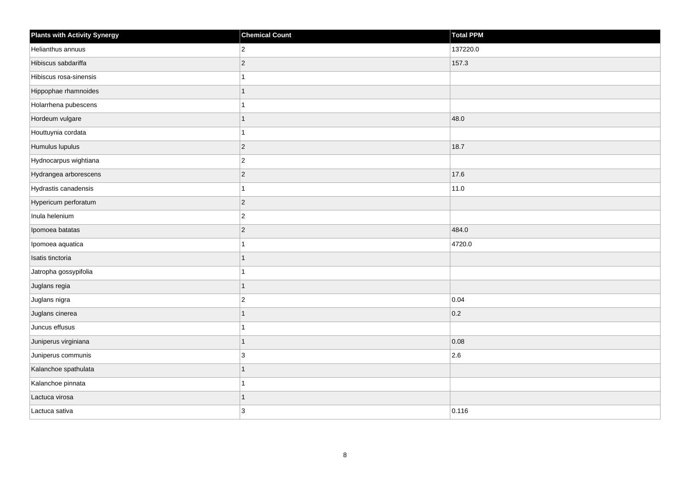| <b>Plants with Activity Synergy</b> | <b>Chemical Count</b> | <b>Total PPM</b> |
|-------------------------------------|-----------------------|------------------|
| Helianthus annuus                   | $\overline{2}$        | 137220.0         |
| Hibiscus sabdariffa                 | $\overline{2}$        | 157.3            |
| Hibiscus rosa-sinensis              |                       |                  |
| Hippophae rhamnoides                |                       |                  |
| Holarrhena pubescens                |                       |                  |
| Hordeum vulgare                     |                       | 48.0             |
| Houttuynia cordata                  |                       |                  |
| Humulus lupulus                     | $\overline{2}$        | 18.7             |
| Hydnocarpus wightiana               | $\overline{c}$        |                  |
| Hydrangea arborescens               | $\overline{2}$        | 17.6             |
| Hydrastis canadensis                |                       | 11.0             |
| Hypericum perforatum                | $\vert$ 2             |                  |
| Inula helenium                      | $\overline{2}$        |                  |
| Ipomoea batatas                     | $\overline{2}$        | 484.0            |
| Ipomoea aquatica                    |                       | 4720.0           |
| Isatis tinctoria                    | 1                     |                  |
| Jatropha gossypifolia               |                       |                  |
| Juglans regia                       | 1                     |                  |
| Juglans nigra                       | $\overline{2}$        | 0.04             |
| Juglans cinerea                     |                       | 0.2              |
| Juncus effusus                      |                       |                  |
| Juniperus virginiana                | 1                     | 0.08             |
| Juniperus communis                  | 3                     | 2.6              |
| Kalanchoe spathulata                |                       |                  |
| Kalanchoe pinnata                   |                       |                  |
| Lactuca virosa                      |                       |                  |
| Lactuca sativa                      | $\mathbf{3}$          | 0.116            |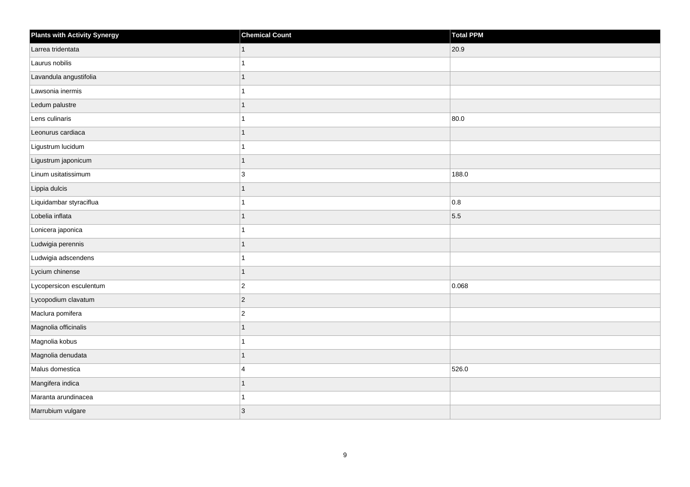| Plants with Activity Synergy | <b>Chemical Count</b> | <b>Total PPM</b> |
|------------------------------|-----------------------|------------------|
| Larrea tridentata            | 1                     | 20.9             |
| Laurus nobilis               |                       |                  |
| Lavandula angustifolia       |                       |                  |
| Lawsonia inermis             |                       |                  |
| Ledum palustre               |                       |                  |
| Lens culinaris               |                       | 80.0             |
| Leonurus cardiaca            |                       |                  |
| Ligustrum lucidum            |                       |                  |
| Ligustrum japonicum          |                       |                  |
| Linum usitatissimum          | 3                     | 188.0            |
| Lippia dulcis                |                       |                  |
| Liquidambar styraciflua      |                       | 0.8              |
| Lobelia inflata              |                       | 5.5              |
| Lonicera japonica            |                       |                  |
| Ludwigia perennis            |                       |                  |
| Ludwigia adscendens          |                       |                  |
| Lycium chinense              |                       |                  |
| Lycopersicon esculentum      | $\overline{c}$        | 0.068            |
| Lycopodium clavatum          | 2                     |                  |
| Maclura pomifera             | $\overline{2}$        |                  |
| Magnolia officinalis         |                       |                  |
| Magnolia kobus               |                       |                  |
| Magnolia denudata            |                       |                  |
| Malus domestica              | $\overline{4}$        | 526.0            |
| Mangifera indica             |                       |                  |
| Maranta arundinacea          |                       |                  |
| Marrubium vulgare            | $\overline{3}$        |                  |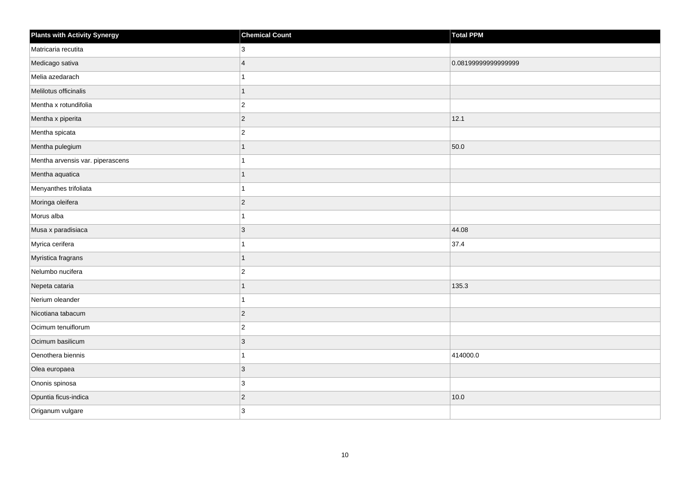| <b>Plants with Activity Synergy</b> | <b>Chemical Count</b>   | <b>Total PPM</b>    |
|-------------------------------------|-------------------------|---------------------|
| Matricaria recutita                 | 3                       |                     |
| Medicago sativa                     | $\overline{\mathbf{A}}$ | 0.08199999999999999 |
| Melia azedarach                     |                         |                     |
| Melilotus officinalis               | 1                       |                     |
| Mentha x rotundifolia               | $\overline{c}$          |                     |
| Mentha x piperita                   | $\overline{c}$          | 12.1                |
| Mentha spicata                      | $\overline{2}$          |                     |
| Mentha pulegium                     |                         | 50.0                |
| Mentha arvensis var. piperascens    |                         |                     |
| Mentha aquatica                     | 1                       |                     |
| Menyanthes trifoliata               |                         |                     |
| Moringa oleifera                    | $\overline{2}$          |                     |
| Morus alba                          | 1                       |                     |
| Musa x paradisiaca                  | 3                       | 44.08               |
| Myrica cerifera                     |                         | 37.4                |
| Myristica fragrans                  | $\overline{1}$          |                     |
| Nelumbo nucifera                    | $\overline{2}$          |                     |
| Nepeta cataria                      |                         | 135.3               |
| Nerium oleander                     | 1                       |                     |
| Nicotiana tabacum                   | $\overline{2}$          |                     |
| Ocimum tenuiflorum                  | $\overline{2}$          |                     |
| Ocimum basilicum                    | 3                       |                     |
| Oenothera biennis                   |                         | 414000.0            |
| Olea europaea                       | 3                       |                     |
| Ononis spinosa                      | 3                       |                     |
| Opuntia ficus-indica                | $\overline{2}$          | 10.0                |
| Origanum vulgare                    | 3                       |                     |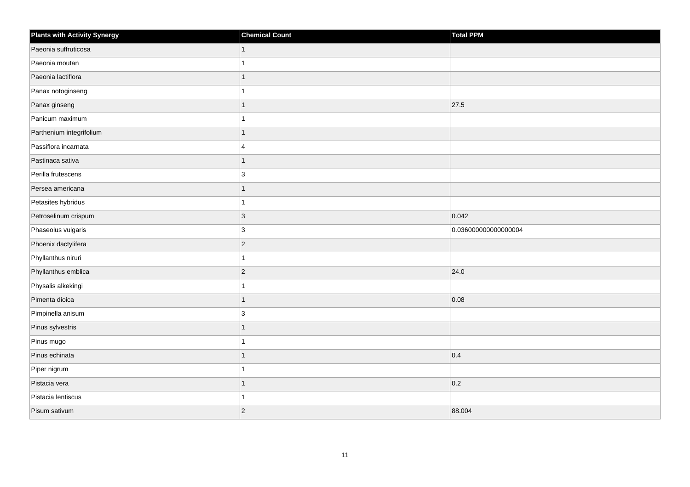| <b>Plants with Activity Synergy</b> | <b>Chemical Count</b>   | Total PPM            |
|-------------------------------------|-------------------------|----------------------|
| Paeonia suffruticosa                | $\mathbf{1}$            |                      |
| Paeonia moutan                      | 1                       |                      |
| Paeonia lactiflora                  | 1                       |                      |
| Panax notoginseng                   | 1                       |                      |
| Panax ginseng                       | 1                       | 27.5                 |
| Panicum maximum                     | 1                       |                      |
| Parthenium integrifolium            | $\mathbf{1}$            |                      |
| Passiflora incarnata                | $\overline{\mathbf{4}}$ |                      |
| Pastinaca sativa                    | 1                       |                      |
| Perilla frutescens                  | 3                       |                      |
| Persea americana                    | 1                       |                      |
| Petasites hybridus                  | $\mathbf{1}$            |                      |
| Petroselinum crispum                | $ 3\rangle$             | 0.042                |
| Phaseolus vulgaris                  | 3                       | 0.036000000000000004 |
| Phoenix dactylifera                 | $ 2\rangle$             |                      |
| Phyllanthus niruri                  | 1                       |                      |
| Phyllanthus emblica                 | $ 2\rangle$             | 24.0                 |
| Physalis alkekingi                  | 1                       |                      |
| Pimenta dioica                      | $\mathbf{1}$            | 0.08                 |
| Pimpinella anisum                   | 3                       |                      |
| Pinus sylvestris                    | 1                       |                      |
| Pinus mugo                          | 1                       |                      |
| Pinus echinata                      |                         | 0.4                  |
| Piper nigrum                        | 1                       |                      |
| Pistacia vera                       | $\mathbf{1}$            | 0.2                  |
| Pistacia lentiscus                  | 1                       |                      |
| Pisum sativum                       | $ 2\rangle$             | 88.004               |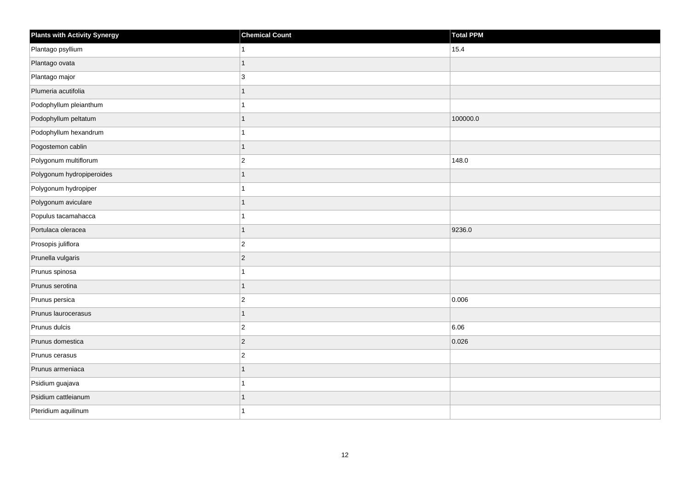| <b>Plants with Activity Synergy</b> | <b>Chemical Count</b> | Total PPM |
|-------------------------------------|-----------------------|-----------|
| Plantago psyllium                   |                       | 15.4      |
| Plantago ovata                      | 1                     |           |
| Plantago major                      | 3                     |           |
| Plumeria acutifolia                 | 1                     |           |
| Podophyllum pleianthum              |                       |           |
| Podophyllum peltatum                | 1                     | 100000.0  |
| Podophyllum hexandrum               |                       |           |
| Pogostemon cablin                   | 1                     |           |
| Polygonum multiflorum               | $\overline{2}$        | 148.0     |
| Polygonum hydropiperoides           | $\overline{1}$        |           |
| Polygonum hydropiper                |                       |           |
| Polygonum aviculare                 |                       |           |
| Populus tacamahacca                 | 1                     |           |
| Portulaca oleracea                  | 1                     | 9236.0    |
| Prosopis juliflora                  | $\overline{c}$        |           |
| Prunella vulgaris                   | $\overline{2}$        |           |
| Prunus spinosa                      |                       |           |
| Prunus serotina                     | 1                     |           |
| Prunus persica                      | $\overline{2}$        | 0.006     |
| Prunus laurocerasus                 | 1                     |           |
| Prunus dulcis                       | $\overline{2}$        | 6.06      |
| Prunus domestica                    | $\overline{c}$        | 0.026     |
| Prunus cerasus                      | $\overline{2}$        |           |
| Prunus armeniaca                    | 1                     |           |
| Psidium guajava                     | 1                     |           |
| Psidium cattleianum                 | 1                     |           |
| Pteridium aquilinum                 |                       |           |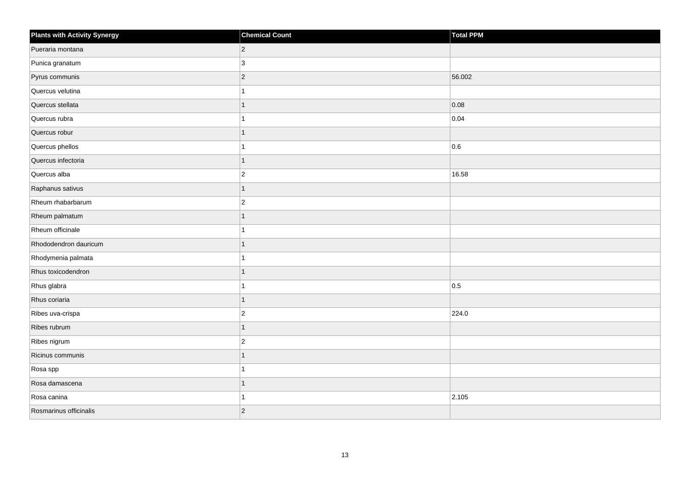| <b>Plants with Activity Synergy</b> | <b>Chemical Count</b> | Total PPM |
|-------------------------------------|-----------------------|-----------|
| Pueraria montana                    | $\overline{2}$        |           |
| Punica granatum                     | 3                     |           |
| Pyrus communis                      | $\overline{2}$        | 56.002    |
| Quercus velutina                    |                       |           |
| Quercus stellata                    |                       | 0.08      |
| Quercus rubra                       |                       | 0.04      |
| Quercus robur                       | 1                     |           |
| Quercus phellos                     |                       | 0.6       |
| Quercus infectoria                  | 1                     |           |
| Quercus alba                        | $\overline{2}$        | 16.58     |
| Raphanus sativus                    | 1                     |           |
| Rheum rhabarbarum                   | $\overline{2}$        |           |
| Rheum palmatum                      | 1                     |           |
| Rheum officinale                    |                       |           |
| Rhododendron dauricum               |                       |           |
| Rhodymenia palmata                  |                       |           |
| Rhus toxicodendron                  |                       |           |
| Rhus glabra                         |                       | 0.5       |
| Rhus coriaria                       | $\overline{1}$        |           |
| Ribes uva-crispa                    | $\overline{2}$        | 224.0     |
| Ribes rubrum                        | 1                     |           |
| Ribes nigrum                        | $\overline{2}$        |           |
| Ricinus communis                    |                       |           |
| Rosa spp                            |                       |           |
| Rosa damascena                      | 1                     |           |
| Rosa canina                         |                       | 2.105     |
| Rosmarinus officinalis              | $\overline{2}$        |           |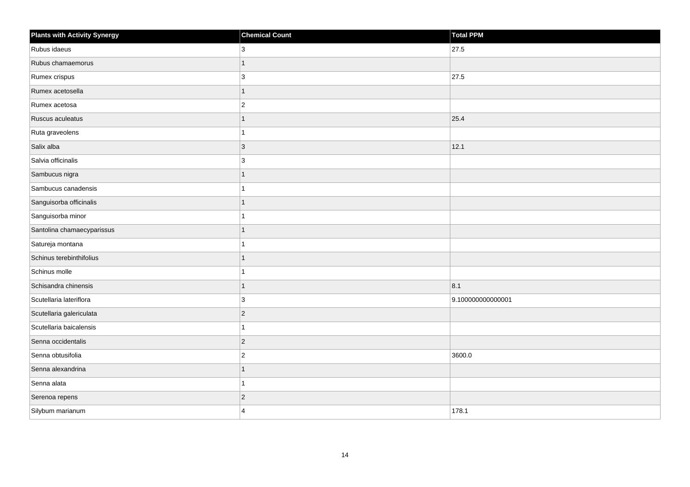| <b>Plants with Activity Synergy</b> | <b>Chemical Count</b> | Total PPM         |
|-------------------------------------|-----------------------|-------------------|
| Rubus idaeus                        | 3                     | 27.5              |
| Rubus chamaemorus                   | $\mathbf{1}$          |                   |
| Rumex crispus                       | 3                     | 27.5              |
| Rumex acetosella                    | $\overline{1}$        |                   |
| Rumex acetosa                       | $ 2\rangle$           |                   |
| Ruscus aculeatus                    | 1                     | 25.4              |
| Ruta graveolens                     | 1                     |                   |
| Salix alba                          | 3                     | 12.1              |
| Salvia officinalis                  | 3                     |                   |
| Sambucus nigra                      | $\overline{1}$        |                   |
| Sambucus canadensis                 | 1                     |                   |
| Sanguisorba officinalis             | 1                     |                   |
| Sanguisorba minor                   | 1                     |                   |
| Santolina chamaecyparissus          | $\mathbf{1}$          |                   |
| Satureja montana                    | 1                     |                   |
| Schinus terebinthifolius            | $\overline{1}$        |                   |
| Schinus molle                       | 1                     |                   |
| Schisandra chinensis                | $\overline{1}$        | 8.1               |
| Scutellaria lateriflora             | 3                     | 9.100000000000001 |
| Scutellaria galericulata            | $\overline{2}$        |                   |
| Scutellaria baicalensis             | $\mathbf{1}$          |                   |
| Senna occidentalis                  | $ 2\rangle$           |                   |
| Senna obtusifolia                   | $\overline{2}$        | 3600.0            |
| Senna alexandrina                   | $\mathbf{1}$          |                   |
| Senna alata                         | 1                     |                   |
| Serenoa repens                      | $\overline{2}$        |                   |
| Silybum marianum                    | $\overline{4}$        | 178.1             |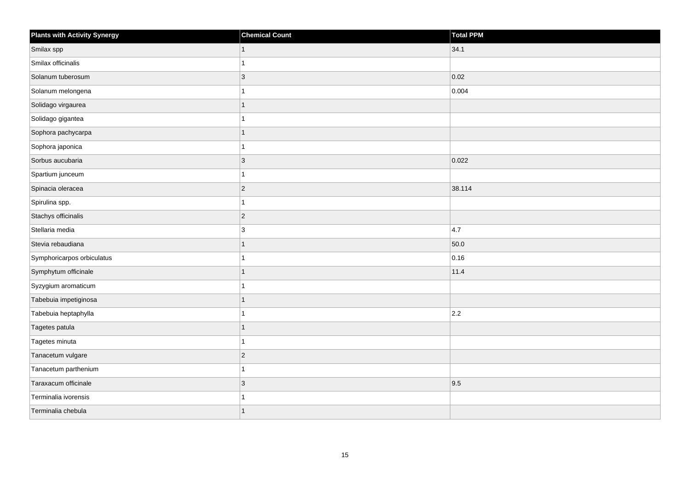| <b>Plants with Activity Synergy</b> | <b>Chemical Count</b> | Total PPM |
|-------------------------------------|-----------------------|-----------|
| Smilax spp                          | 1                     | 34.1      |
| Smilax officinalis                  |                       |           |
| Solanum tuberosum                   | $\overline{3}$        | 0.02      |
| Solanum melongena                   |                       | 0.004     |
| Solidago virgaurea                  |                       |           |
| Solidago gigantea                   |                       |           |
| Sophora pachycarpa                  | 1                     |           |
| Sophora japonica                    |                       |           |
| Sorbus aucubaria                    | $\overline{3}$        | 0.022     |
| Spartium junceum                    |                       |           |
| Spinacia oleracea                   | $\overline{2}$        | 38.114    |
| Spirulina spp.                      |                       |           |
| Stachys officinalis                 | $\overline{2}$        |           |
| Stellaria media                     | 3                     | 4.7       |
| Stevia rebaudiana                   |                       | 50.0      |
| Symphoricarpos orbiculatus          |                       | 0.16      |
| Symphytum officinale                |                       | 11.4      |
| Syzygium aromaticum                 |                       |           |
| Tabebuia impetiginosa               | 1                     |           |
| Tabebuia heptaphylla                |                       | 2.2       |
| Tagetes patula                      |                       |           |
| Tagetes minuta                      |                       |           |
| Tanacetum vulgare                   | $\overline{2}$        |           |
| Tanacetum parthenium                |                       |           |
| Taraxacum officinale                | $\overline{3}$        | 9.5       |
| Terminalia ivorensis                |                       |           |
| Terminalia chebula                  |                       |           |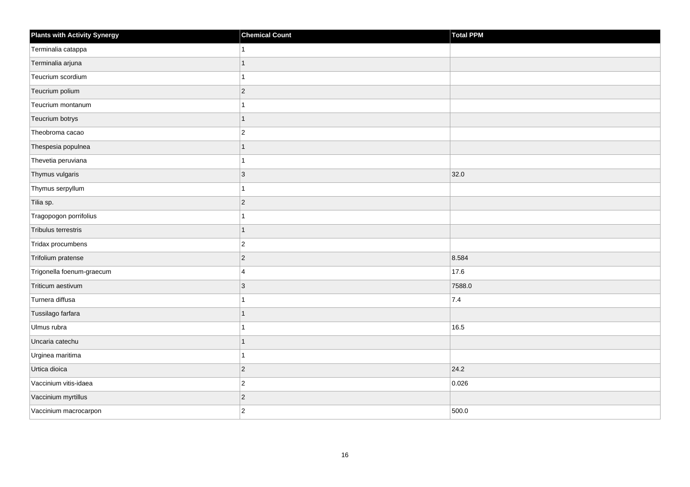| <b>Plants with Activity Synergy</b> | <b>Chemical Count</b> | Total PPM |
|-------------------------------------|-----------------------|-----------|
| Terminalia catappa                  |                       |           |
| Terminalia arjuna                   | 1                     |           |
| Teucrium scordium                   |                       |           |
| Teucrium polium                     | $\overline{2}$        |           |
| Teucrium montanum                   |                       |           |
| Teucrium botrys                     | 1                     |           |
| Theobroma cacao                     | $\overline{a}$        |           |
| Thespesia populnea                  | 1                     |           |
| Thevetia peruviana                  | 4                     |           |
| Thymus vulgaris                     | $\overline{3}$        | 32.0      |
| Thymus serpyllum                    |                       |           |
| Tilia sp.                           | $\overline{2}$        |           |
| Tragopogon porrifolius              | 1                     |           |
| Tribulus terrestris                 | 1                     |           |
| Tridax procumbens                   | $\overline{c}$        |           |
| Trifolium pratense                  | $\overline{2}$        | 8.584     |
| Trigonella foenum-graecum           | 4                     | 17.6      |
| Triticum aestivum                   | 3                     | 7588.0    |
| Turnera diffusa                     | 1                     | 7.4       |
| Tussilago farfara                   | 1                     |           |
| Ulmus rubra                         |                       | 16.5      |
| Uncaria catechu                     | 1                     |           |
| Urginea maritima                    |                       |           |
| Urtica dioica                       | $\overline{2}$        | 24.2      |
| Vaccinium vitis-idaea               | $\overline{c}$        | 0.026     |
| Vaccinium myrtillus                 | $\overline{c}$        |           |
| Vaccinium macrocarpon               | $\overline{2}$        | 500.0     |